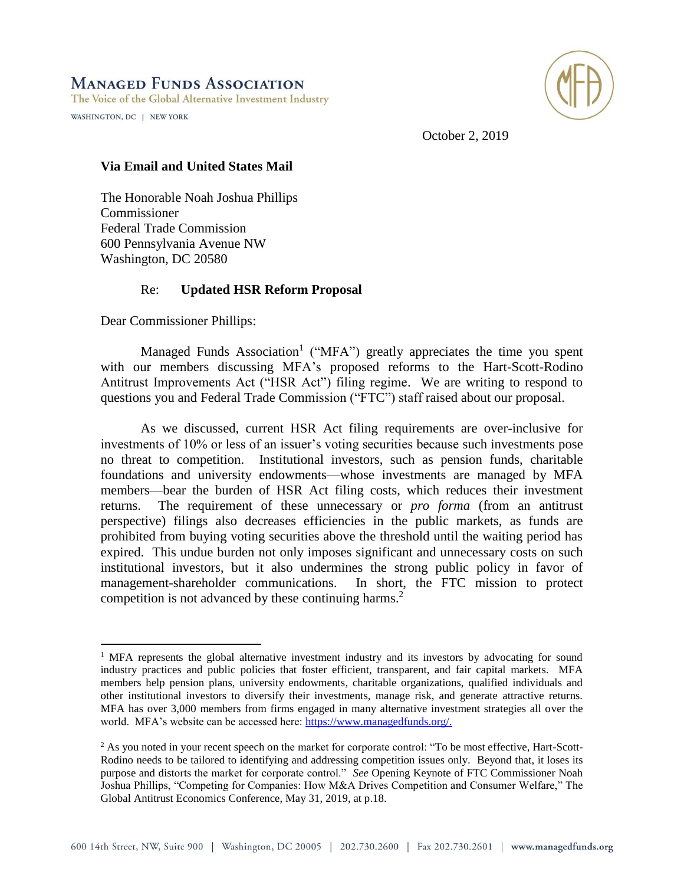## **MANAGED FUNDS ASSOCIATION**

The Voice of the Global Alternative Investment Industry

WASHINGTON, DC | NEW YORK

 $\overline{a}$ 



October 2, 2019

## **Via Email and United States Mail**

The Honorable Noah Joshua Phillips Commissioner Federal Trade Commission 600 Pennsylvania Avenue NW Washington, DC 20580

## Re: **Updated HSR Reform Proposal**

Dear Commissioner Phillips:

Managed Funds Association<sup>1</sup> ("MFA") greatly appreciates the time you spent with our members discussing MFA's proposed reforms to the Hart-Scott-Rodino Antitrust Improvements Act ("HSR Act") filing regime. We are writing to respond to questions you and Federal Trade Commission ("FTC") staff raised about our proposal.

As we discussed, current HSR Act filing requirements are over-inclusive for investments of 10% or less of an issuer's voting securities because such investments pose no threat to competition. Institutional investors, such as pension funds, charitable foundations and university endowments—whose investments are managed by MFA members—bear the burden of HSR Act filing costs, which reduces their investment returns. The requirement of these unnecessary or *pro forma* (from an antitrust perspective) filings also decreases efficiencies in the public markets, as funds are prohibited from buying voting securities above the threshold until the waiting period has expired. This undue burden not only imposes significant and unnecessary costs on such institutional investors, but it also undermines the strong public policy in favor of management-shareholder communications. In short, the FTC mission to protect competition is not advanced by these continuing harms. 2

<sup>&</sup>lt;sup>1</sup> MFA represents the global alternative investment industry and its investors by advocating for sound industry practices and public policies that foster efficient, transparent, and fair capital markets. MFA members help pension plans, university endowments, charitable organizations, qualified individuals and other institutional investors to diversify their investments, manage risk, and generate attractive returns. MFA has over 3,000 members from firms engaged in many alternative investment strategies all over the world. MFA's website can be accessed here: [https://www.managedfunds.org/.](https://www.managedfunds.org/)

 $2$  As you noted in your recent speech on the market for corporate control: "To be most effective, Hart-Scott-Rodino needs to be tailored to identifying and addressing competition issues only. Beyond that, it loses its purpose and distorts the market for corporate control." *See* Opening Keynote of FTC Commissioner Noah Joshua Phillips, "Competing for Companies: How M&A Drives Competition and Consumer Welfare," The Global Antitrust Economics Conference, May 31, 2019, at p.18.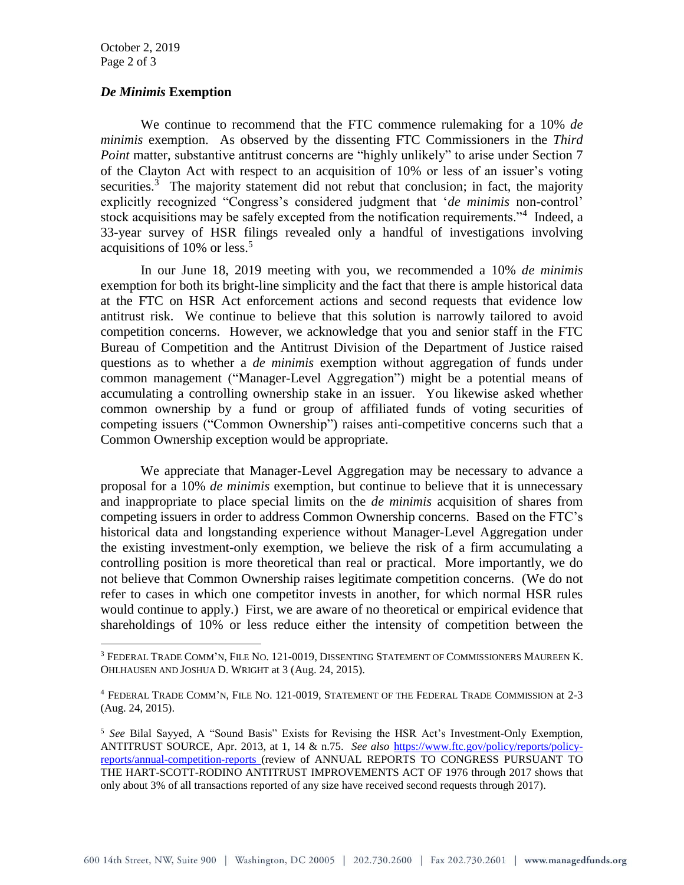October 2, 2019 Page 2 of 3

 $\overline{a}$ 

## *De Minimis* **Exemption**

We continue to recommend that the FTC commence rulemaking for a 10% *de minimis* exemption. As observed by the dissenting FTC Commissioners in the *Third Point* matter, substantive antitrust concerns are "highly unlikely" to arise under Section 7 of the Clayton Act with respect to an acquisition of 10% or less of an issuer's voting securities.<sup>3</sup> The majority statement did not rebut that conclusion; in fact, the majority explicitly recognized "Congress's considered judgment that '*de minimis* non-control' stock acquisitions may be safely excepted from the notification requirements."<sup>4</sup> Indeed, a 33-year survey of HSR filings revealed only a handful of investigations involving acquisitions of  $10\%$  or less.<sup>5</sup>

In our June 18, 2019 meeting with you, we recommended a 10% *de minimis* exemption for both its bright-line simplicity and the fact that there is ample historical data at the FTC on HSR Act enforcement actions and second requests that evidence low antitrust risk. We continue to believe that this solution is narrowly tailored to avoid competition concerns. However, we acknowledge that you and senior staff in the FTC Bureau of Competition and the Antitrust Division of the Department of Justice raised questions as to whether a *de minimis* exemption without aggregation of funds under common management ("Manager-Level Aggregation") might be a potential means of accumulating a controlling ownership stake in an issuer. You likewise asked whether common ownership by a fund or group of affiliated funds of voting securities of competing issuers ("Common Ownership") raises anti-competitive concerns such that a Common Ownership exception would be appropriate.

We appreciate that Manager-Level Aggregation may be necessary to advance a proposal for a 10% *de minimis* exemption, but continue to believe that it is unnecessary and inappropriate to place special limits on the *de minimis* acquisition of shares from competing issuers in order to address Common Ownership concerns. Based on the FTC's historical data and longstanding experience without Manager-Level Aggregation under the existing investment-only exemption, we believe the risk of a firm accumulating a controlling position is more theoretical than real or practical. More importantly, we do not believe that Common Ownership raises legitimate competition concerns. (We do not refer to cases in which one competitor invests in another, for which normal HSR rules would continue to apply.) First, we are aware of no theoretical or empirical evidence that shareholdings of 10% or less reduce either the intensity of competition between the

<sup>3</sup> FEDERAL TRADE COMM'N, FILE NO. 121-0019, DISSENTING STATEMENT OF COMMISSIONERS MAUREEN K. OHLHAUSEN AND JOSHUA D. WRIGHT at 3 (Aug. 24, 2015).

<sup>4</sup> FEDERAL TRADE COMM'N, FILE NO. 121-0019, STATEMENT OF THE FEDERAL TRADE COMMISSION at 2-3 (Aug. 24, 2015).

<sup>5</sup> *See* Bilal Sayyed, A "Sound Basis" Exists for Revising the HSR Act's Investment-Only Exemption, ANTITRUST SOURCE, Apr. 2013, at 1, 14 & n.75. *See also* [https://www.ftc.gov/policy/reports/policy](https://www.ftc.gov/policy/reports/policy-reports/annual-competition-reports)[reports/annual-competition-reports](https://www.ftc.gov/policy/reports/policy-reports/annual-competition-reports) (review of ANNUAL REPORTS TO CONGRESS PURSUANT TO THE HART-SCOTT-RODINO ANTITRUST IMPROVEMENTS ACT OF 1976 through 2017 shows that only about 3% of all transactions reported of any size have received second requests through 2017).